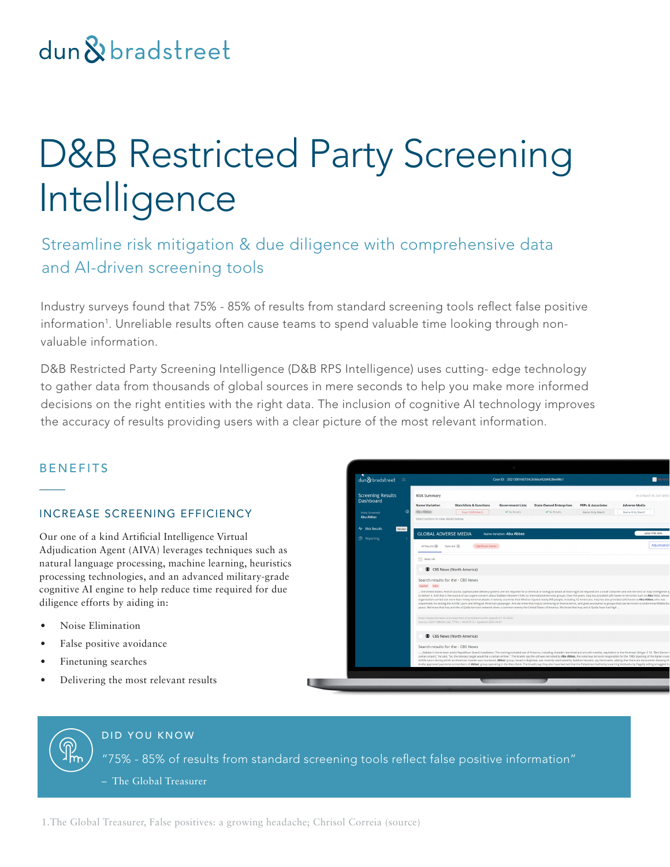## dun & bradstreet

# D&B Restricted Party Screening Intelligence

Streamline risk mitigation & due diligence with comprehensive data and AI-driven screening tools

Industry surveys found that 75% - 85% of results from standard screening tools reflect false positive information<sup>1</sup>. Unreliable results often cause teams to spend valuable time looking through nonvaluable information.

D&B Restricted Party Screening Intelligence (D&B RPS Intelligence) uses cutting- edge technology to gather data from thousands of global sources in mere seconds to help you make more informed decisions on the right entities with the right data. The inclusion of cognitive AI technology improves the accuracy of results providing users with a clear picture of the most relevant information.

#### BENEFITS

#### INCREASE SCREENING EFFICIENCY

Our one of a kind Artificial Intelligence Virtual Adjudication Agent (AIVA) leverages techniques such as natural language processing, machine learning, heuristics processing technologies, and an advanced military-grade cognitive AI engine to help reduce time required for due diligence efforts by aiding in:

- Noise Elimination
- False positive avoidance
- Finetuning searches
- Delivering the most relevant results



#### DID YOU KNOW

"75% - 85% of results from standard screening tools reflect false positive information"

– The Global Treasurer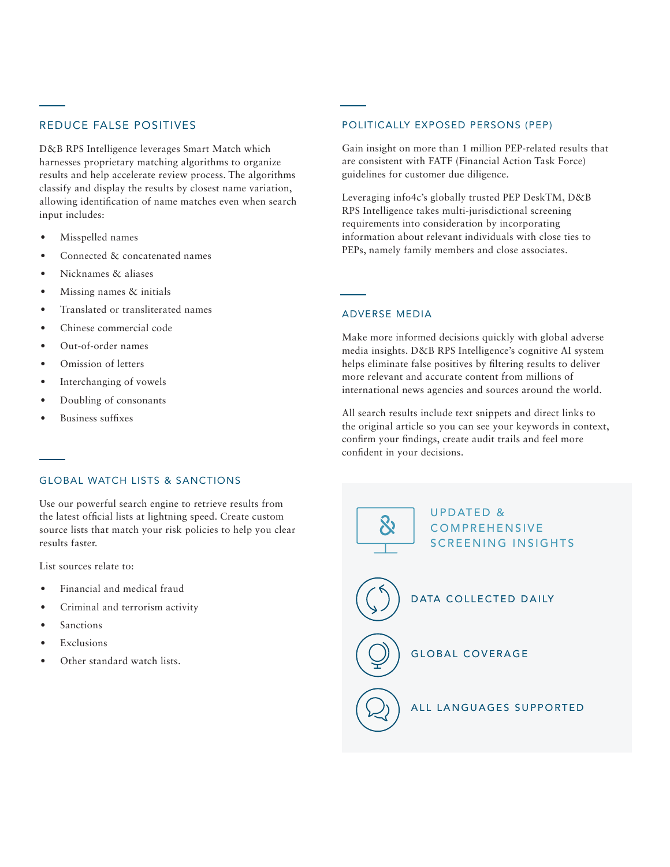#### REDUCE FALSE POSITIVES

D&B RPS Intelligence leverages Smart Match which harnesses proprietary matching algorithms to organize results and help accelerate review process. The algorithms classify and display the results by closest name variation, allowing identification of name matches even when search input includes:

- Misspelled names
- Connected & concatenated names
- Nicknames & aliases
- Missing names & initials
- Translated or transliterated names
- Chinese commercial code
- Out-of-order names
- Omission of letters
- Interchanging of vowels
- Doubling of consonants
- Business suffixes

#### POLITICALLY EXPOSED PERSONS (PEP)

Gain insight on more than 1 million PEP-related results that are consistent with FATF (Financial Action Task Force) guidelines for customer due diligence.

Leveraging info4c's globally trusted PEP DeskTM, D&B RPS Intelligence takes multi-jurisdictional screening requirements into consideration by incorporating information about relevant individuals with close ties to PEPs, namely family members and close associates.

#### ADVERSE MEDIA

Make more informed decisions quickly with global adverse media insights. D&B RPS Intelligence's cognitive AI system helps eliminate false positives by filtering results to deliver more relevant and accurate content from millions of international news agencies and sources around the world.

All search results include text snippets and direct links to the original article so you can see your keywords in context, confirm your findings, create audit trails and feel more confident in your decisions.

#### GLOBAL WATCH LISTS & SANCTIONS

Use our powerful search engine to retrieve results from the latest official lists at lightning speed. Create custom source lists that match your risk policies to help you clear results faster.

List sources relate to:

- Financial and medical fraud
- Criminal and terrorism activity
- **Sanctions**
- **Exclusions**
-